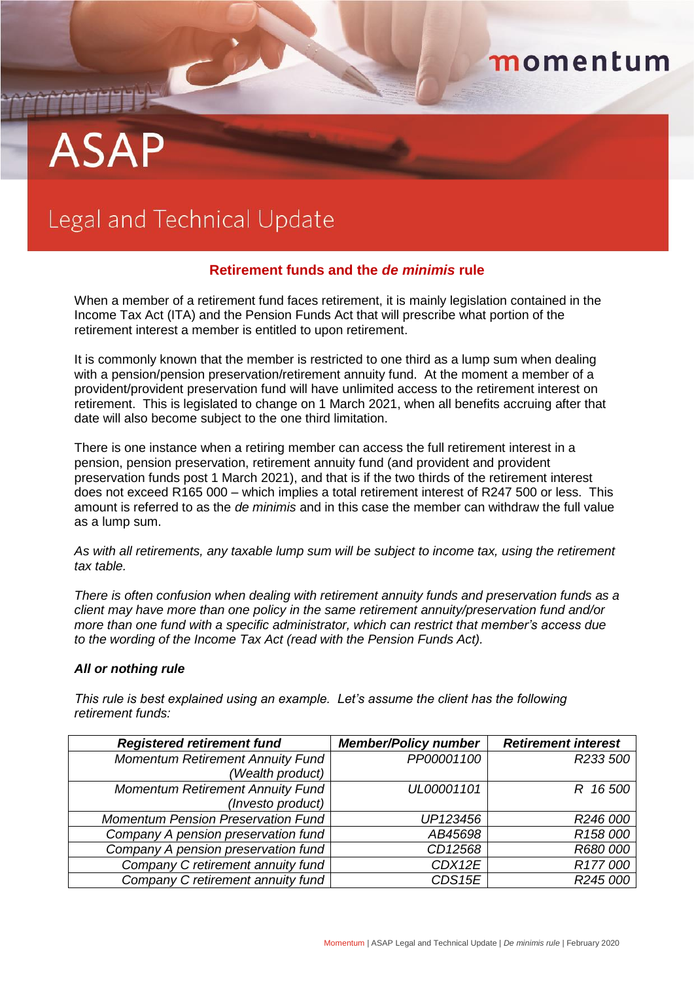# momentum

# ASAP

## Legal and Technical Update

## **Retirement funds and the** *de minimis* **rule**

When a member of a retirement fund faces retirement, it is mainly legislation contained in the Income Tax Act (ITA) and the Pension Funds Act that will prescribe what portion of the retirement interest a member is entitled to upon retirement.

It is commonly known that the member is restricted to one third as a lump sum when dealing with a pension/pension preservation/retirement annuity fund. At the moment a member of a provident/provident preservation fund will have unlimited access to the retirement interest on retirement. This is legislated to change on 1 March 2021, when all benefits accruing after that date will also become subject to the one third limitation.

There is one instance when a retiring member can access the full retirement interest in a pension, pension preservation, retirement annuity fund (and provident and provident preservation funds post 1 March 2021), and that is if the two thirds of the retirement interest does not exceed R165 000 – which implies a total retirement interest of R247 500 or less. This amount is referred to as the *de minimis* and in this case the member can withdraw the full value as a lump sum.

*As with all retirements, any taxable lump sum will be subject to income tax, using the retirement tax table.*

*There is often confusion when dealing with retirement annuity funds and preservation funds as a client may have more than one policy in the same retirement annuity/preservation fund and/or more than one fund with a specific administrator, which can restrict that member's access due to the wording of the Income Tax Act (read with the Pension Funds Act).*

### *All or nothing rule*

*This rule is best explained using an example. Let's assume the client has the following retirement funds:*

| <b>Registered retirement fund</b>         | <b>Member/Policy number</b> | <b>Retirement interest</b> |
|-------------------------------------------|-----------------------------|----------------------------|
| <b>Momentum Retirement Annuity Fund</b>   | PP00001100                  | R233 500                   |
| (Wealth product)                          |                             |                            |
| <b>Momentum Retirement Annuity Fund</b>   | UL00001101                  | R 16500                    |
| (Investo product)                         |                             |                            |
| <b>Momentum Pension Preservation Fund</b> | UP123456                    | R246 000                   |
| Company A pension preservation fund       | AB45698                     | R <sub>158</sub> 000       |
| Company A pension preservation fund       | CD12568                     | R680 000                   |
| Company C retirement annuity fund         | CDX12E                      | R177000                    |
| Company C retirement annuity fund         | CDS15E                      | R245 000                   |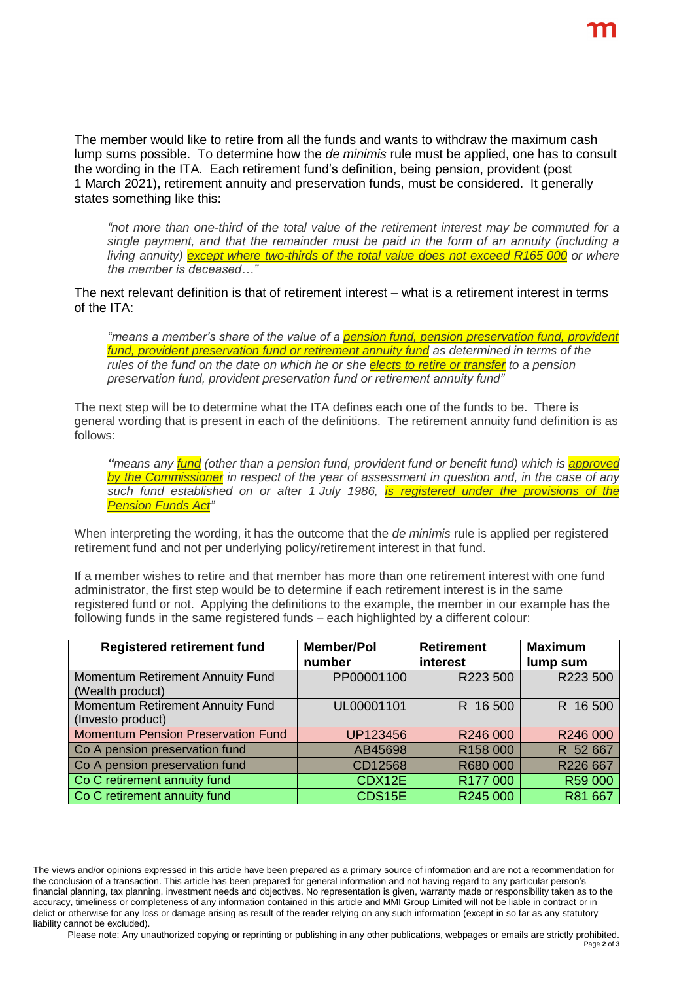The member would like to retire from all the funds and wants to withdraw the maximum cash lump sums possible. To determine how the *de minimis* rule must be applied, one has to consult the wording in the ITA. Each retirement fund's definition, being pension, provident (post 1 March 2021), retirement annuity and preservation funds, must be considered. It generally states something like this:

*"not more than one-third of the total value of the retirement interest may be commuted for a single payment, and that the remainder must be paid in the form of an annuity (including a living annuity) except where two-thirds of the total value does not exceed R165 000 or where the member is deceased…"*

The next relevant definition is that of retirement interest – what is a retirement interest in terms of the ITA:

*"means a member's share of the value of a pension fund, pension preservation fund, provident fund, provident preservation fund or retirement annuity fund as determined in terms of the rules of the fund on the date on which he or she elects to retire or transfer to a pension preservation fund, provident preservation fund or retirement annuity fund"*

The next step will be to determine what the ITA defines each one of the funds to be. There is general wording that is present in each of the definitions. The retirement annuity fund definition is as follows:

*"means any fund (other than a pension fund, provident fund or benefit fund) which is approved by the Commissioner in respect of the year of assessment in question and, in the case of any such fund established on or after 1 July 1986, is registered under the provisions of the Pension Funds Act"*

When interpreting the wording, it has the outcome that the *de minimis* rule is applied per registered retirement fund and not per underlying policy/retirement interest in that fund.

If a member wishes to retire and that member has more than one retirement interest with one fund administrator, the first step would be to determine if each retirement interest is in the same registered fund or not. Applying the definitions to the example, the member in our example has the following funds in the same registered funds – each highlighted by a different colour:

| <b>Registered retirement fund</b>         | <b>Member/Pol</b> | <b>Retirement</b> | <b>Maximum</b> |
|-------------------------------------------|-------------------|-------------------|----------------|
|                                           | number            | interest          | lump sum       |
| Momentum Retirement Annuity Fund          | PP00001100        | R223 500          | R223 500       |
| (Wealth product)                          |                   |                   |                |
| Momentum Retirement Annuity Fund          | UL00001101        | R 16 500          | R 16 500       |
| (Investo product)                         |                   |                   |                |
| <b>Momentum Pension Preservation Fund</b> | UP123456          | R246 000          | R246 000       |
| Co A pension preservation fund            | AB45698           | R158 000          | R 52 667       |
| Co A pension preservation fund            | CD12568           | R680 000          | R226 667       |
| Co C retirement annuity fund              | CDX12E            | R177 000          | R59 000        |
| Co C retirement annuity fund              | CDS15E            | R245 000          | R81 667        |

Please note: Any unauthorized copying or reprinting or publishing in any other publications, webpages or emails are strictly prohibited. Page **2** of **3**

The views and/or opinions expressed in this article have been prepared as a primary source of information and are not a recommendation for the conclusion of a transaction. This article has been prepared for general information and not having regard to any particular person's financial planning, tax planning, investment needs and objectives. No representation is given, warranty made or responsibility taken as to the accuracy, timeliness or completeness of any information contained in this article and MMI Group Limited will not be liable in contract or in delict or otherwise for any loss or damage arising as result of the reader relying on any such information (except in so far as any statutory liability cannot be excluded).